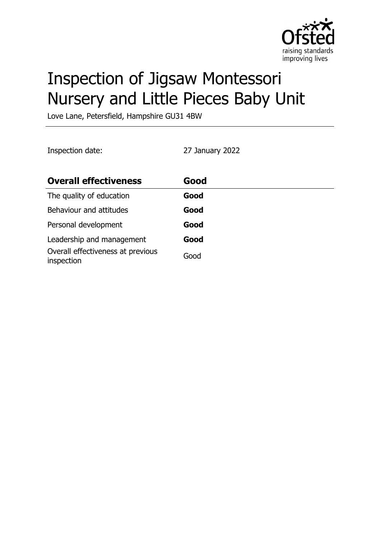

# Inspection of Jigsaw Montessori Nursery and Little Pieces Baby Unit

Love Lane, Petersfield, Hampshire GU31 4BW

Inspection date: 27 January 2022

| <b>Overall effectiveness</b>                    | Good |
|-------------------------------------------------|------|
| The quality of education                        | Good |
| Behaviour and attitudes                         | Good |
| Personal development                            | Good |
| Leadership and management                       | Good |
| Overall effectiveness at previous<br>inspection | Good |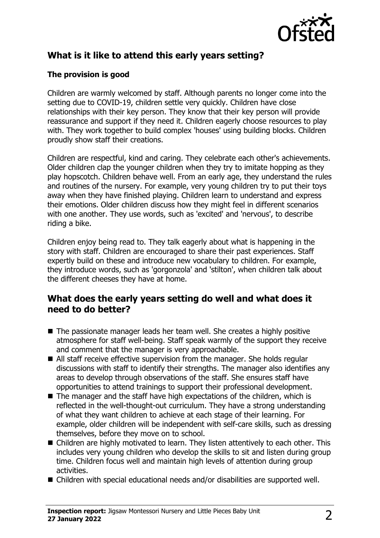

# **What is it like to attend this early years setting?**

#### **The provision is good**

Children are warmly welcomed by staff. Although parents no longer come into the setting due to COVID-19, children settle very quickly. Children have close relationships with their key person. They know that their key person will provide reassurance and support if they need it. Children eagerly choose resources to play with. They work together to build complex 'houses' using building blocks. Children proudly show staff their creations.

Children are respectful, kind and caring. They celebrate each other's achievements. Older children clap the younger children when they try to imitate hopping as they play hopscotch. Children behave well. From an early age, they understand the rules and routines of the nursery. For example, very young children try to put their toys away when they have finished playing. Children learn to understand and express their emotions. Older children discuss how they might feel in different scenarios with one another. They use words, such as 'excited' and 'nervous', to describe riding a bike.

Children enjoy being read to. They talk eagerly about what is happening in the story with staff. Children are encouraged to share their past experiences. Staff expertly build on these and introduce new vocabulary to children. For example, they introduce words, such as 'gorgonzola' and 'stilton', when children talk about the different cheeses they have at home.

#### **What does the early years setting do well and what does it need to do better?**

- $\blacksquare$  The passionate manager leads her team well. She creates a highly positive atmosphere for staff well-being. Staff speak warmly of the support they receive and comment that the manager is very approachable.
- $\blacksquare$  All staff receive effective supervision from the manager. She holds regular discussions with staff to identify their strengths. The manager also identifies any areas to develop through observations of the staff. She ensures staff have opportunities to attend trainings to support their professional development.
- $\blacksquare$  The manager and the staff have high expectations of the children, which is reflected in the well-thought-out curriculum. They have a strong understanding of what they want children to achieve at each stage of their learning. For example, older children will be independent with self-care skills, such as dressing themselves, before they move on to school.
- Children are highly motivated to learn. They listen attentively to each other. This includes very young children who develop the skills to sit and listen during group time. Children focus well and maintain high levels of attention during group activities.
- Children with special educational needs and/or disabilities are supported well.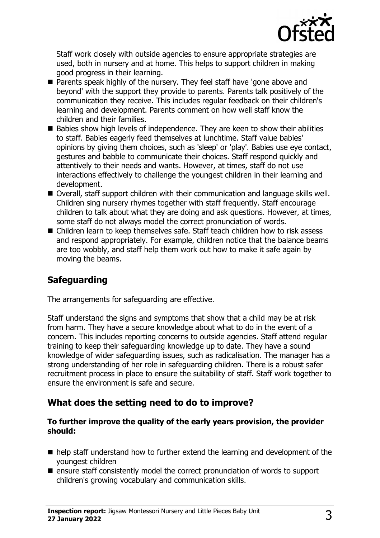

Staff work closely with outside agencies to ensure appropriate strategies are used, both in nursery and at home. This helps to support children in making good progress in their learning.

- Parents speak highly of the nursery. They feel staff have 'gone above and beyond' with the support they provide to parents. Parents talk positively of the communication they receive. This includes regular feedback on their children's learning and development. Parents comment on how well staff know the children and their families.
- $\blacksquare$  Babies show high levels of independence. They are keen to show their abilities to staff. Babies eagerly feed themselves at lunchtime. Staff value babies' opinions by giving them choices, such as 'sleep' or 'play'. Babies use eye contact, gestures and babble to communicate their choices. Staff respond quickly and attentively to their needs and wants. However, at times, staff do not use interactions effectively to challenge the youngest children in their learning and development.
- Overall, staff support children with their communication and language skills well. Children sing nursery rhymes together with staff frequently. Staff encourage children to talk about what they are doing and ask questions. However, at times, some staff do not always model the correct pronunciation of words.
- Children learn to keep themselves safe. Staff teach children how to risk assess and respond appropriately. For example, children notice that the balance beams are too wobbly, and staff help them work out how to make it safe again by moving the beams.

## **Safeguarding**

The arrangements for safeguarding are effective.

Staff understand the signs and symptoms that show that a child may be at risk from harm. They have a secure knowledge about what to do in the event of a concern. This includes reporting concerns to outside agencies. Staff attend regular training to keep their safeguarding knowledge up to date. They have a sound knowledge of wider safeguarding issues, such as radicalisation. The manager has a strong understanding of her role in safeguarding children. There is a robust safer recruitment process in place to ensure the suitability of staff. Staff work together to ensure the environment is safe and secure.

## **What does the setting need to do to improve?**

#### **To further improve the quality of the early years provision, the provider should:**

- $\blacksquare$  help staff understand how to further extend the learning and development of the youngest children
- $\blacksquare$  ensure staff consistently model the correct pronunciation of words to support children's growing vocabulary and communication skills.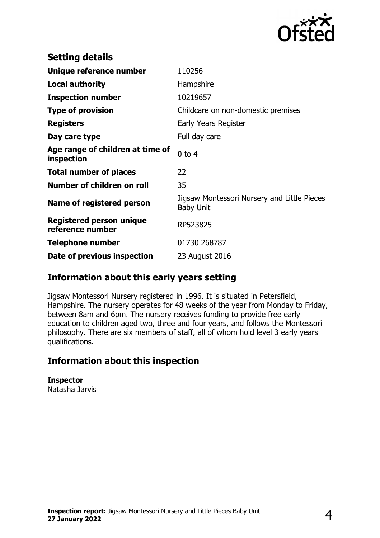

| <b>Setting details</b>                         |                                                                 |
|------------------------------------------------|-----------------------------------------------------------------|
| Unique reference number                        | 110256                                                          |
| Local authority                                | Hampshire                                                       |
| <b>Inspection number</b>                       | 10219657                                                        |
| <b>Type of provision</b>                       | Childcare on non-domestic premises                              |
| <b>Registers</b>                               | Early Years Register                                            |
| Day care type                                  | Full day care                                                   |
| Age range of children at time of<br>inspection | $0$ to $4$                                                      |
| <b>Total number of places</b>                  | 22                                                              |
| Number of children on roll                     | 35                                                              |
| Name of registered person                      | Jigsaw Montessori Nursery and Little Pieces<br><b>Baby Unit</b> |
| Registered person unique<br>reference number   | RP523825                                                        |
| <b>Telephone number</b>                        | 01730 268787                                                    |
| Date of previous inspection                    | 23 August 2016                                                  |

## **Information about this early years setting**

Jigsaw Montessori Nursery registered in 1996. It is situated in Petersfield, Hampshire. The nursery operates for 48 weeks of the year from Monday to Friday, between 8am and 6pm. The nursery receives funding to provide free early education to children aged two, three and four years, and follows the Montessori philosophy. There are six members of staff, all of whom hold level 3 early years qualifications.

## **Information about this inspection**

**Inspector** Natasha Jarvis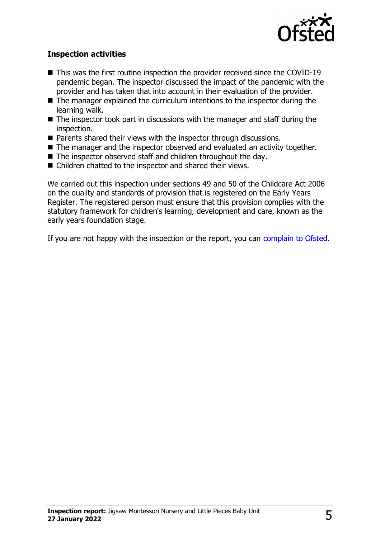

#### **Inspection activities**

- $\blacksquare$  This was the first routine inspection the provider received since the COVID-19 pandemic began. The inspector discussed the impact of the pandemic with the provider and has taken that into account in their evaluation of the provider.
- $\blacksquare$  The manager explained the curriculum intentions to the inspector during the learning walk.
- $\blacksquare$  The inspector took part in discussions with the manager and staff during the inspection.
- $\blacksquare$  Parents shared their views with the inspector through discussions.
- $\blacksquare$  The manager and the inspector observed and evaluated an activity together.
- $\blacksquare$  The inspector observed staff and children throughout the day.
- $\blacksquare$  Children chatted to the inspector and shared their views.

We carried out this inspection under sections 49 and 50 of the Childcare Act 2006 on the quality and standards of provision that is registered on the Early Years Register. The registered person must ensure that this provision complies with the statutory framework for children's learning, development and care, known as the early years foundation stage.

If you are not happy with the inspection or the report, you can [complain to Ofsted](http://www.gov.uk/complain-ofsted-report).